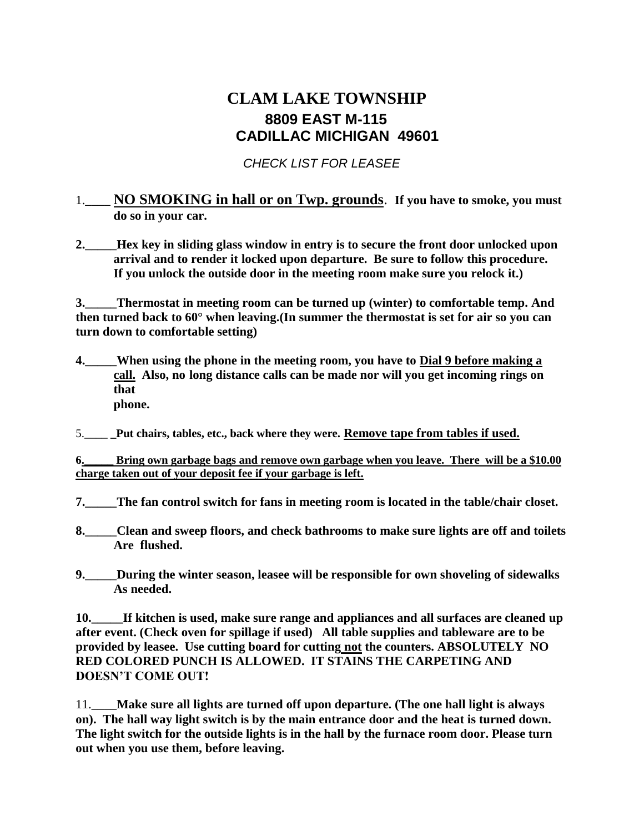# **CLAM LAKE TOWNSHIP 8809 EAST M-115 CADILLAC MICHIGAN 49601**

### *CHECK LIST FOR LEASEE*

### 1.\_\_\_\_ **NO SMOKING in hall or on Twp. grounds**. **If you have to smoke, you must do so in your car.**

**2.\_\_\_\_\_Hex key in sliding glass window in entry is to secure the front door unlocked upon arrival and to render it locked upon departure. Be sure to follow this procedure. If you unlock the outside door in the meeting room make sure you relock it.)**

**3.\_\_\_\_\_Thermostat in meeting room can be turned up (winter) to comfortable temp. And then turned back to 60° when leaving.(In summer the thermostat is set for air so you can turn down to comfortable setting)**

- **4.\_\_\_\_\_When using the phone in the meeting room, you have to Dial 9 before making a call. Also, no long distance calls can be made nor will you get incoming rings on that phone.**
- 5.\_\_\_\_ **\_Put chairs, tables, etc., back where they were. Remove tape from tables if used.**

**6.\_\_\_\_\_ Bring own garbage bags and remove own garbage when you leave. There will be a \$10.00 charge taken out of your deposit fee if your garbage is left.**

- **7.\_\_\_\_\_The fan control switch for fans in meeting room is located in the table/chair closet.**
- **8.\_\_\_\_\_Clean and sweep floors, and check bathrooms to make sure lights are off and toilets Are flushed.**
- **9.\_\_\_\_\_During the winter season, leasee will be responsible for own shoveling of sidewalks As needed.**

**10.\_\_\_\_\_If kitchen is used, make sure range and appliances and all surfaces are cleaned up after event. (Check oven for spillage if used) All table supplies and tableware are to be provided by leasee. Use cutting board for cutting not the counters. ABSOLUTELY NO RED COLORED PUNCH IS ALLOWED. IT STAINS THE CARPETING AND DOESN'T COME OUT!**

11.\_\_\_\_**Make sure all lights are turned off upon departure. (The one hall light is always on). The hall way light switch is by the main entrance door and the heat is turned down. The light switch for the outside lights is in the hall by the furnace room door. Please turn out when you use them, before leaving.**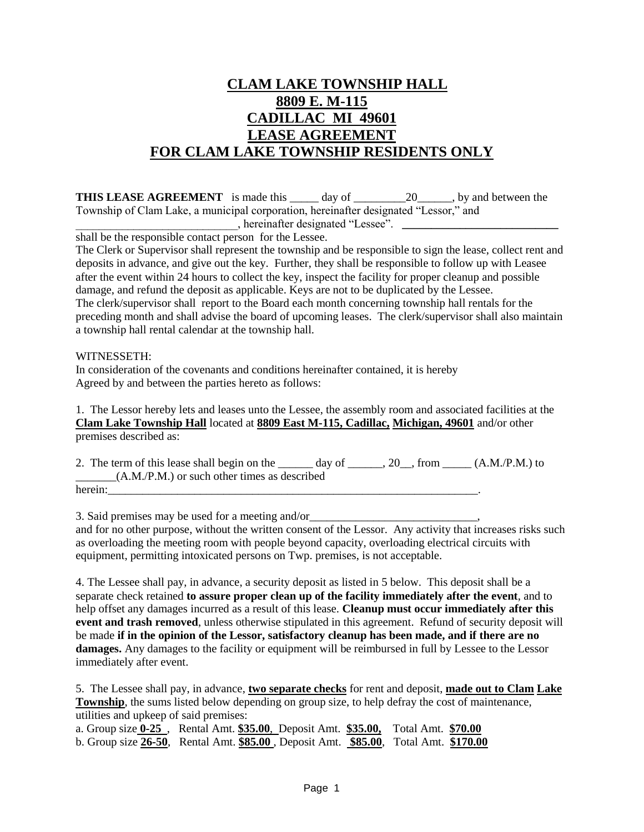## **CLAM LAKE TOWNSHIP HALL 8809 E. M-115 CADILLAC MI 49601 LEASE AGREEMENT FOR CLAM LAKE TOWNSHIP RESIDENTS ONLY**

**THIS LEASE AGREEMENT** is made this day of 20, by and between the Township of Clam Lake, a municipal corporation, hereinafter designated "Lessor," and \_\_\_\_\_\_\_\_\_\_\_, hereinafter designated "Lessee". \_\_\_\_\_\_\_\_\_\_\_\_\_\_\_\_\_\_\_\_\_\_\_\_\_\_\_\_\_\_\_\_\_\_

shall be the responsible contact person for the Lessee.

The Clerk or Supervisor shall represent the township and be responsible to sign the lease, collect rent and deposits in advance, and give out the key. Further, they shall be responsible to follow up with Leasee after the event within 24 hours to collect the key, inspect the facility for proper cleanup and possible damage, and refund the deposit as applicable. Keys are not to be duplicated by the Lessee. The clerk/supervisor shall report to the Board each month concerning township hall rentals for the preceding month and shall advise the board of upcoming leases. The clerk/supervisor shall also maintain a township hall rental calendar at the township hall.

#### WITNESSETH:

In consideration of the covenants and conditions hereinafter contained, it is hereby Agreed by and between the parties hereto as follows:

1. The Lessor hereby lets and leases unto the Lessee, the assembly room and associated facilities at the **Clam Lake Township Hall** located at **8809 East M-115, Cadillac, Michigan, 49601** and/or other premises described as:

2. The term of this lease shall begin on the  $\_\_\_\_$  day of  $\_\_\_\_$ , 20, from  $\_\_\_$ (A.M./P.M.) to  $(A.M./P.M.)$  or such other times as described herein:\_\_\_\_\_\_\_\_\_\_\_\_\_\_\_\_\_\_\_\_\_\_\_\_\_\_\_\_\_\_\_\_\_\_\_\_\_\_\_\_\_\_\_\_\_\_\_\_\_\_\_\_\_\_\_\_\_\_\_\_\_\_\_\_.

3. Said premises may be used for a meeting and/or and for no other purpose, without the written consent of the Lessor. Any activity that increases risks such as overloading the meeting room with people beyond capacity, overloading electrical circuits with equipment, permitting intoxicated persons on Twp. premises, is not acceptable.

4. The Lessee shall pay, in advance, a security deposit as listed in 5 below. This deposit shall be a separate check retained **to assure proper clean up of the facility immediately after the event**, and to help offset any damages incurred as a result of this lease. **Cleanup must occur immediately after this event and trash removed**, unless otherwise stipulated in this agreement. Refund of security deposit will be made **if in the opinion of the Lessor, satisfactory cleanup has been made, and if there are no damages.** Any damages to the facility or equipment will be reimbursed in full by Lessee to the Lessor immediately after event.

5. The Lessee shall pay, in advance, **two separate checks** for rent and deposit, **made out to Clam Lake Township**, the sums listed below depending on group size, to help defray the cost of maintenance, utilities and upkeep of said premises:

a. Group size **0-25** , Rental Amt. **\$35.00**, Deposit Amt. **\$35.00,** Total Amt. **\$70.00** b. Group size **26-50**, Rental Amt. **\$85.00** , Deposit Amt. **\$85.00**, Total Amt. **\$170.00**